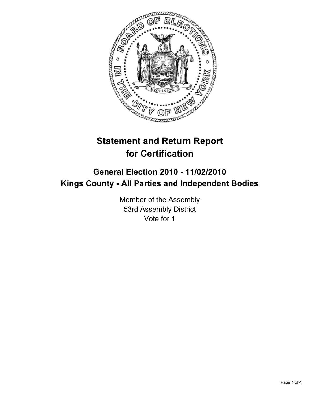

# **Statement and Return Report for Certification**

## **General Election 2010 - 11/02/2010 Kings County - All Parties and Independent Bodies**

Member of the Assembly 53rd Assembly District Vote for 1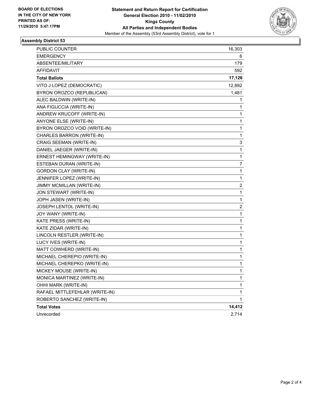

#### **Assembly District 53**

| <b>PUBLIC COUNTER</b>          | 16,303 |
|--------------------------------|--------|
| <b>EMERGENCY</b>               | 6      |
| ABSENTEE/MILITARY              | 179    |
| AFFIDAVIT                      | 592    |
| <b>Total Ballots</b>           | 17,126 |
| VITO J LOPEZ (DEMOCRATIC)      | 12,892 |
| BYRON OROZCO (REPUBLICAN)      | 1,481  |
| ALEC BALDWIN (WRITE-IN)        | 1      |
| ANA FIGUCCIA (WRITE-IN)        | 1      |
| ANDREW KRUCOFF (WRITE-IN)      | 1      |
| ANYONE ELSE (WRITE-IN)         | 1      |
| BYRON OROZCO VOID (WRITE-IN)   | 1      |
| CHARLES BARRON (WRITE-IN)      | 1      |
| CRAIG SEEMAN (WRITE-IN)        | 3      |
| DANIEL JAEGER (WRITE-IN)       | 1      |
| ERNEST HEMINGWAY (WRITE-IN)    | 1      |
| ESTEBAN DURAN (WRITE-IN)       | 7      |
| <b>GORDON CLAY (WRITE-IN)</b>  | 1      |
| JENNIFER LOPEZ (WRITE-IN)      | 1      |
| JIMMY MCMILLAN (WRITE-IN)      | 2      |
| JON STEWART (WRITE-IN)         | 1      |
| JOPH JASEN (WRITE-IN)          | 1      |
| JOSEPH LENTOL (WRITE-IN)       | 2      |
| JOY WANY (WRITE-IN)            | 1      |
| KATE PRESS (WRITE-IN)          | 1      |
| KATE ZIDAR (WRITE-IN)          | 1      |
| LINCOLN RESTLER (WRITE-IN)     | 1      |
| LUCY IVES (WRITE-IN)           | 1      |
| MATT COWHERD (WRITE-IN)        | 1      |
| MICHAEL CHEREPIO (WRITE-IN)    | 1      |
| MICHAEL CHEREPKO (WRITE-IN)    | 1      |
| MICKEY MOUSE (WRITE-IN)        | 1      |
| MONICA MARTINEZ (WRITE-IN)     | 1      |
| OHHI MARK (WRITE-IN)           | 1      |
| RAFAEL MITTLEFEHLAR (WRITE-IN) | 1      |
| ROBERTO SANCHEZ (WRITE-IN)     | 1      |
| <b>Total Votes</b>             | 14,412 |
| Unrecorded                     | 2,714  |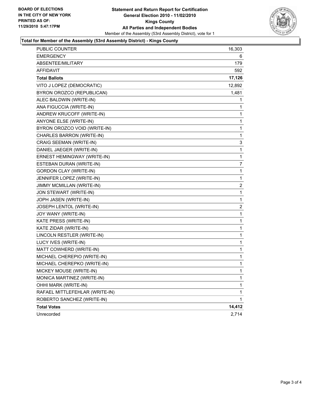

#### **Total for Member of the Assembly (53rd Assembly District) - Kings County**

| PUBLIC COUNTER                 | 16,303 |
|--------------------------------|--------|
| <b>EMERGENCY</b>               | 6      |
| ABSENTEE/MILITARY              | 179    |
| AFFIDAVIT                      | 592    |
| <b>Total Ballots</b>           | 17,126 |
| VITO J LOPEZ (DEMOCRATIC)      | 12,892 |
| BYRON OROZCO (REPUBLICAN)      | 1,481  |
| ALEC BALDWIN (WRITE-IN)        | 1      |
| ANA FIGUCCIA (WRITE-IN)        | 1      |
| ANDREW KRUCOFF (WRITE-IN)      | 1      |
| ANYONE ELSE (WRITE-IN)         | 1      |
| BYRON OROZCO VOID (WRITE-IN)   | 1      |
| CHARLES BARRON (WRITE-IN)      | 1      |
| CRAIG SEEMAN (WRITE-IN)        | 3      |
| DANIEL JAEGER (WRITE-IN)       | 1      |
| ERNEST HEMINGWAY (WRITE-IN)    | 1      |
| ESTEBAN DURAN (WRITE-IN)       | 7      |
| <b>GORDON CLAY (WRITE-IN)</b>  | 1      |
| JENNIFER LOPEZ (WRITE-IN)      | 1      |
| JIMMY MCMILLAN (WRITE-IN)      | 2      |
| JON STEWART (WRITE-IN)         | 1      |
| JOPH JASEN (WRITE-IN)          | 1      |
| JOSEPH LENTOL (WRITE-IN)       | 2      |
| JOY WANY (WRITE-IN)            | 1      |
| KATE PRESS (WRITE-IN)          | 1      |
| KATE ZIDAR (WRITE-IN)          | 1      |
| LINCOLN RESTLER (WRITE-IN)     | 1      |
| LUCY IVES (WRITE-IN)           | 1      |
| MATT COWHERD (WRITE-IN)        | 1      |
| MICHAEL CHEREPIO (WRITE-IN)    | 1      |
| MICHAEL CHEREPKO (WRITE-IN)    | 1      |
| MICKEY MOUSE (WRITE-IN)        | 1      |
| MONICA MARTINEZ (WRITE-IN)     | 1      |
| OHHI MARK (WRITE-IN)           | 1      |
| RAFAEL MITTLEFEHLAR (WRITE-IN) | 1      |
| ROBERTO SANCHEZ (WRITE-IN)     | 1      |
| <b>Total Votes</b>             | 14,412 |
| Unrecorded                     | 2,714  |